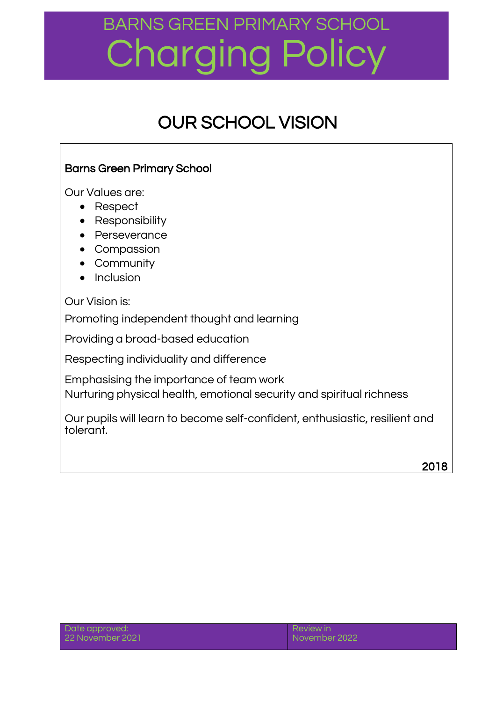# BARNS GREEN PRIMARY SCHOOL Charging Policy

### OUR SCHOOL VISION

### Barns Green Primary School

Our Values are:

- Respect
- Responsibility
- Perseverance
- Compassion
- Community
- Inclusion

Our Vision is:

Promoting independent thought and learning

Providing a broad-based education

Respecting individuality and difference

Emphasising the importance of team work Nurturing physical health, emotional security and spiritual richness

Our pupils will learn to become self-confident, enthusiastic, resilient and tolerant.

2018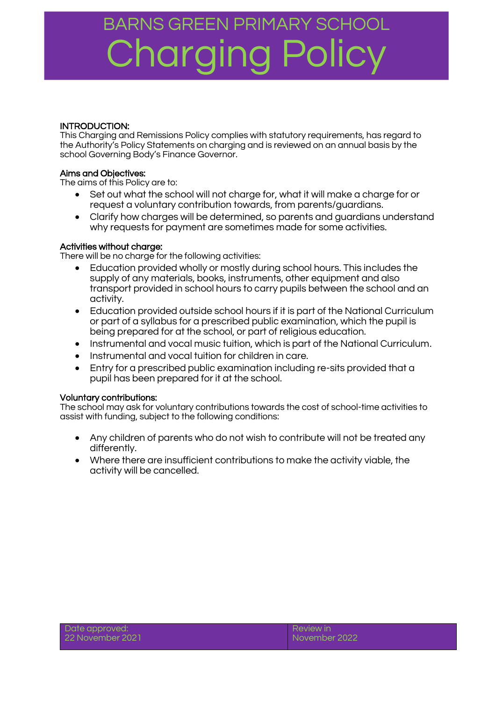### BARNS GREEN PRIMARY SCHOOL Chargin

#### INTRODUCTION:

This Charging and Remissions Policy complies with statutory requirements, has regard to the Authority's Policy Statements on charging and is reviewed on an annual basis by the school Governing Body's Finance Governor.

#### Aims and Objectives:

The aims of this Policy are to:

- Set out what the school will not charge for, what it will make a charge for or request a voluntary contribution towards, from parents/guardians.
- Clarify how charges will be determined, so parents and guardians understand why requests for payment are sometimes made for some activities.

#### Activities without charge:

There will be no charge for the following activities:

- Education provided wholly or mostly during school hours. This includes the supply of any materials, books, instruments, other equipment and also transport provided in school hours to carry pupils between the school and an activity.
- Education provided outside school hours if it is part of the National Curriculum or part of a syllabus for a prescribed public examination, which the pupil is being prepared for at the school, or part of religious education.
- Instrumental and vocal music tuition, which is part of the National Curriculum.
- Instrumental and vocal tuition for children in care.
- Entry for a prescribed public examination including re-sits provided that a pupil has been prepared for it at the school.

#### Voluntary contributions:

The school may ask for voluntary contributions towards the cost of school-time activities to assist with funding, subject to the following conditions:

- Any children of parents who do not wish to contribute will not be treated any differently.
- Where there are insufficient contributions to make the activity viable, the activity will be cancelled.